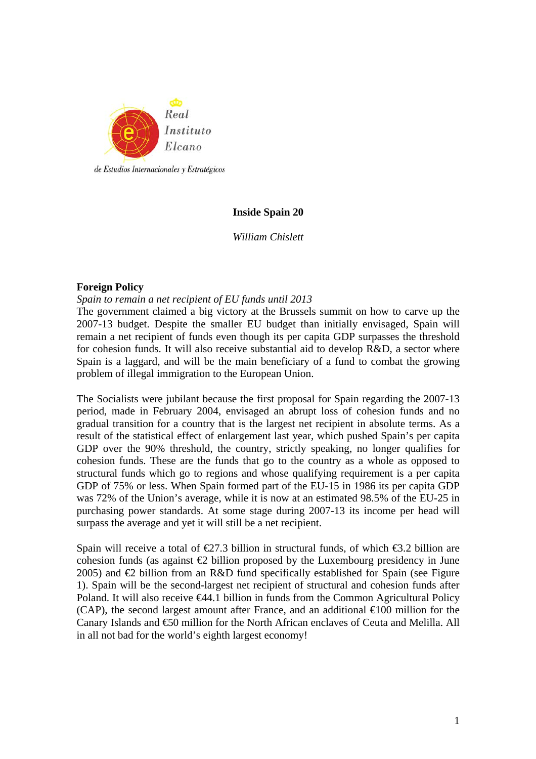

# **Inside Spain 20**

*William Chislett* 

# **Foreign Policy**

#### *Spain to remain a net recipient of EU funds until 2013*

The government claimed a big victory at the Brussels summit on how to carve up the 2007-13 budget. Despite the smaller EU budget than initially envisaged, Spain will remain a net recipient of funds even though its per capita GDP surpasses the threshold for cohesion funds. It will also receive substantial aid to develop R&D, a sector where Spain is a laggard, and will be the main beneficiary of a fund to combat the growing problem of illegal immigration to the European Union.

The Socialists were jubilant because the first proposal for Spain regarding the 2007-13 period, made in February 2004, envisaged an abrupt loss of cohesion funds and no gradual transition for a country that is the largest net recipient in absolute terms. As a result of the statistical effect of enlargement last year, which pushed Spain's per capita GDP over the 90% threshold, the country, strictly speaking, no longer qualifies for cohesion funds. These are the funds that go to the country as a whole as opposed to structural funds which go to regions and whose qualifying requirement is a per capita GDP of 75% or less. When Spain formed part of the EU-15 in 1986 its per capita GDP was 72% of the Union's average, while it is now at an estimated 98.5% of the EU-25 in purchasing power standards. At some stage during 2007-13 its income per head will surpass the average and yet it will still be a net recipient.

Spain will receive a total of  $\epsilon 27.3$  billion in structural funds, of which  $\epsilon 3.2$  billion are cohesion funds (as against  $\bigoplus$  billion proposed by the Luxembourg presidency in June 2005) and  $\bigoplus$  billion from an R&D fund specifically established for Spain (see Figure 1). Spain will be the second-largest net recipient of structural and cohesion funds after Poland. It will also receive €44.1 billion in funds from the Common Agricultural Policy (CAP), the second largest amount after France, and an additional  $\in$ 100 million for the Canary Islands and €50 million for the North African enclaves of Ceuta and Melilla. All in all not bad for the world's eighth largest economy!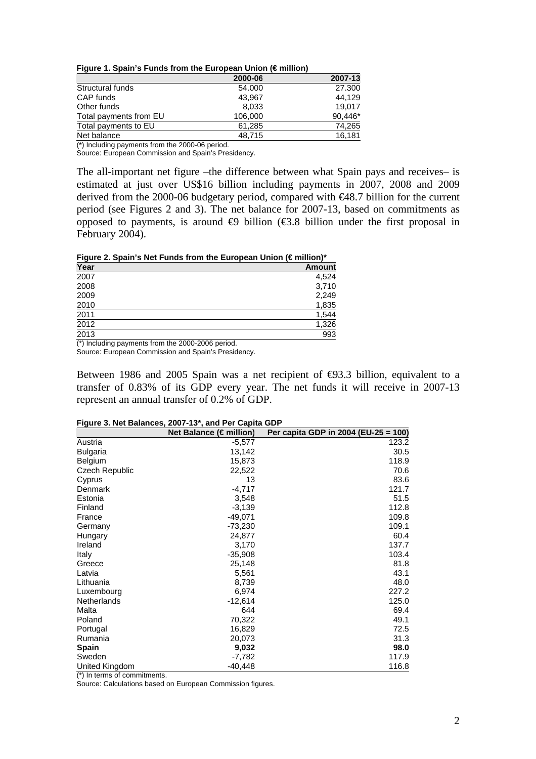**Figure 1. Spain's Funds from the European Union (€ million)** 

|                        | 2000-06 | 2007-13 |
|------------------------|---------|---------|
| Structural funds       | 54.000  | 27,300  |
| CAP funds              | 43.967  | 44.129  |
| Other funds            | 8,033   | 19.017  |
| Total payments from EU | 106.000 | 90,446* |
| Total payments to EU   | 61,285  | 74,265  |
| Net balance            | 48.715  | 16.181  |

(\*) Including payments from the 2000-06 period.

Source: European Commission and Spain's Presidency.

The all-important net figure –the difference between what Spain pays and receives– is estimated at just over US\$16 billion including payments in 2007, 2008 and 2009 derived from the 2000-06 budgetary period, compared with €48.7 billion for the current period (see Figures 2 and 3). The net balance for 2007-13, based on commitments as opposed to payments, is around  $\oplus$  billion ( $\oplus$ .8 billion under the first proposal in February 2004).

**Figure 2. Spain's Net Funds from the European Union (€ million)\*** 

| Year              | <b>Amount</b> |
|-------------------|---------------|
| 2007              | 4,524         |
| 2008              | 3,710         |
| 2009              | 2,249         |
| 2010              | 1,835         |
| 2011              | 1,544         |
| 2012              | 1,326         |
| $\overline{2013}$ | 993           |
|                   |               |

(\*) Including payments from the 2000-2006 period.

Source: European Commission and Spain's Presidency.

Between 1986 and 2005 Spain was a net recipient of  $\Theta$ 3.3 billion, equivalent to a transfer of 0.83% of its GDP every year. The net funds it will receive in 2007-13 represent an annual transfer of 0.2% of GDP.

|                                                                                | Net Balance (€million) | Per capita GDP in 2004 (EU-25 = 100) |
|--------------------------------------------------------------------------------|------------------------|--------------------------------------|
| Austria                                                                        | $-5,577$               | 123.2                                |
| <b>Bulgaria</b>                                                                | 13,142                 | 30.5                                 |
| Belgium                                                                        | 15,873                 | 118.9                                |
| <b>Czech Republic</b>                                                          | 22,522                 | 70.6                                 |
| Cyprus                                                                         | 13                     | 83.6                                 |
| Denmark                                                                        | $-4,717$               | 121.7                                |
| Estonia                                                                        | 3,548                  | 51.5                                 |
| Finland                                                                        | $-3,139$               | 112.8                                |
| France                                                                         | $-49,071$              | 109.8                                |
| Germany                                                                        | $-73,230$              | 109.1                                |
| Hungary                                                                        | 24,877                 | 60.4                                 |
| Ireland                                                                        | 3,170                  | 137.7                                |
| Italy                                                                          | $-35,908$              | 103.4                                |
| Greece                                                                         | 25,148                 | 81.8                                 |
| Latvia                                                                         | 5,561                  | 43.1                                 |
| Lithuania                                                                      | 8,739                  | 48.0                                 |
| Luxembourg                                                                     | 6,974                  | 227.2                                |
| <b>Netherlands</b>                                                             | $-12,614$              | 125.0                                |
| Malta                                                                          | 644                    | 69.4                                 |
| Poland                                                                         | 70,322                 | 49.1                                 |
| Portugal                                                                       | 16,829                 | 72.5                                 |
| Rumania                                                                        | 20,073                 | 31.3                                 |
| <b>Spain</b>                                                                   | 9,032                  | 98.0                                 |
| Sweden                                                                         | -7,782                 | 117.9                                |
| United Kingdom<br>$(4)$ $1 - 1 - 1$<br>and the second control<br>$\sim$ $\sim$ | $-40,448$              | 116.8                                |

**Figure 3. Net Balances, 2007-13\*, and Per Capita GDP** 

(\*) In terms of commitments.

Source: Calculations based on European Commission figures.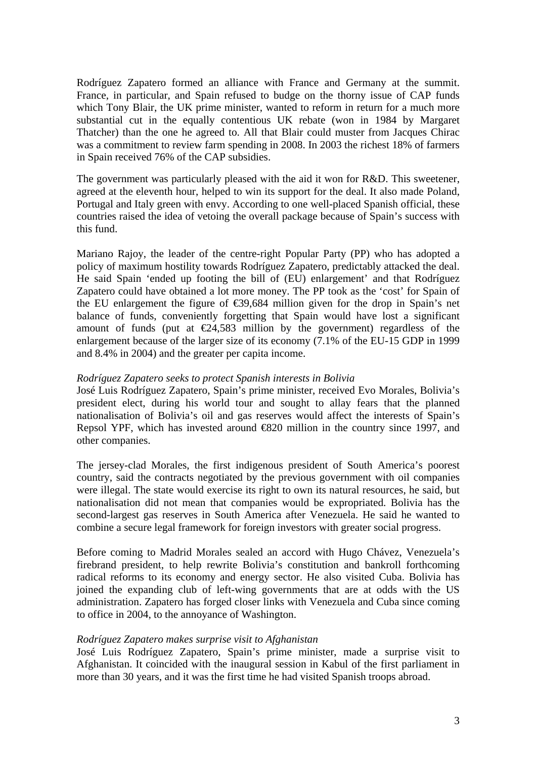Rodríguez Zapatero formed an alliance with France and Germany at the summit. France, in particular, and Spain refused to budge on the thorny issue of CAP funds which Tony Blair, the UK prime minister, wanted to reform in return for a much more substantial cut in the equally contentious UK rebate (won in 1984 by Margaret Thatcher) than the one he agreed to. All that Blair could muster from Jacques Chirac was a commitment to review farm spending in 2008. In 2003 the richest 18% of farmers in Spain received 76% of the CAP subsidies.

The government was particularly pleased with the aid it won for R&D. This sweetener, agreed at the eleventh hour, helped to win its support for the deal. It also made Poland, Portugal and Italy green with envy. According to one well-placed Spanish official, these countries raised the idea of vetoing the overall package because of Spain's success with this fund.

Mariano Rajoy, the leader of the centre-right Popular Party (PP) who has adopted a policy of maximum hostility towards Rodríguez Zapatero, predictably attacked the deal. He said Spain 'ended up footing the bill of (EU) enlargement' and that Rodríguez Zapatero could have obtained a lot more money. The PP took as the 'cost' for Spain of the EU enlargement the figure of  $\epsilon$ 39,684 million given for the drop in Spain's net balance of funds, conveniently forgetting that Spain would have lost a significant amount of funds (put at  $\in \{24,583 \text{ million by the government}\}$  regardless of the enlargement because of the larger size of its economy (7.1% of the EU-15 GDP in 1999 and 8.4% in 2004) and the greater per capita income.

### *Rodríguez Zapatero seeks to protect Spanish interests in Bolivia*

José Luis Rodríguez Zapatero, Spain's prime minister, received Evo Morales, Bolivia's president elect, during his world tour and sought to allay fears that the planned nationalisation of Bolivia's oil and gas reserves would affect the interests of Spain's Repsol YPF, which has invested around  $\bigoplus$  20 million in the country since 1997, and other companies.

The jersey-clad Morales, the first indigenous president of South America's poorest country, said the contracts negotiated by the previous government with oil companies were illegal. The state would exercise its right to own its natural resources, he said, but nationalisation did not mean that companies would be expropriated. Bolivia has the second-largest gas reserves in South America after Venezuela. He said he wanted to combine a secure legal framework for foreign investors with greater social progress.

Before coming to Madrid Morales sealed an accord with Hugo Chávez, Venezuela's firebrand president, to help rewrite Bolivia's constitution and bankroll forthcoming radical reforms to its economy and energy sector. He also visited Cuba. Bolivia has joined the expanding club of left-wing governments that are at odds with the US administration. Zapatero has forged closer links with Venezuela and Cuba since coming to office in 2004, to the annoyance of Washington.

#### *Rodríguez Zapatero makes surprise visit to Afghanistan*

José Luis Rodríguez Zapatero, Spain's prime minister, made a surprise visit to Afghanistan. It coincided with the inaugural session in Kabul of the first parliament in more than 30 years, and it was the first time he had visited Spanish troops abroad.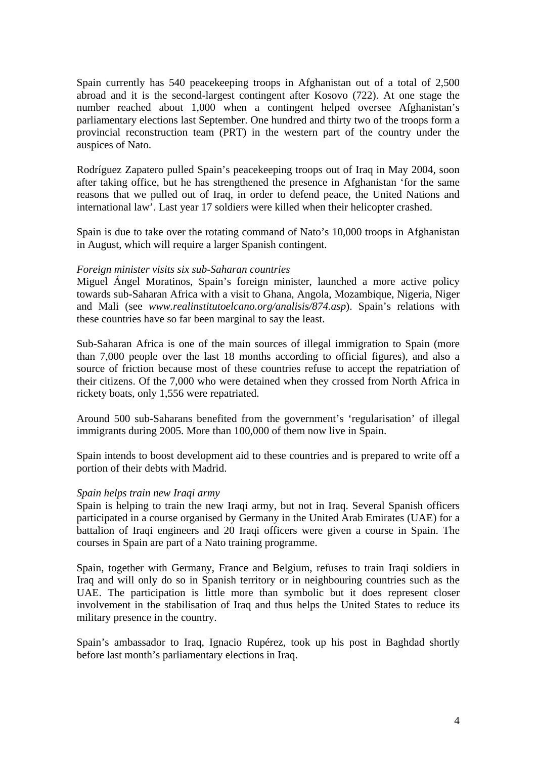Spain currently has 540 peacekeeping troops in Afghanistan out of a total of 2,500 abroad and it is the second-largest contingent after Kosovo (722). At one stage the number reached about 1,000 when a contingent helped oversee Afghanistan's parliamentary elections last September. One hundred and thirty two of the troops form a provincial reconstruction team (PRT) in the western part of the country under the auspices of Nato.

Rodríguez Zapatero pulled Spain's peacekeeping troops out of Iraq in May 2004, soon after taking office, but he has strengthened the presence in Afghanistan 'for the same reasons that we pulled out of Iraq, in order to defend peace, the United Nations and international law'. Last year 17 soldiers were killed when their helicopter crashed.

Spain is due to take over the rotating command of Nato's 10,000 troops in Afghanistan in August, which will require a larger Spanish contingent.

## *Foreign minister visits six sub-Saharan countries*

Miguel Ángel Moratinos, Spain's foreign minister, launched a more active policy towards sub-Saharan Africa with a visit to Ghana, Angola, Mozambique, Nigeria, Niger and Mali (see *www.realinstitutoelcano.org/analisis/874.asp*). Spain's relations with these countries have so far been marginal to say the least.

Sub-Saharan Africa is one of the main sources of illegal immigration to Spain (more than 7,000 people over the last 18 months according to official figures), and also a source of friction because most of these countries refuse to accept the repatriation of their citizens. Of the 7,000 who were detained when they crossed from North Africa in rickety boats, only 1,556 were repatriated.

Around 500 sub-Saharans benefited from the government's 'regularisation' of illegal immigrants during 2005. More than 100,000 of them now live in Spain.

Spain intends to boost development aid to these countries and is prepared to write off a portion of their debts with Madrid.

#### *Spain helps train new Iraqi army*

Spain is helping to train the new Iraqi army, but not in Iraq. Several Spanish officers participated in a course organised by Germany in the United Arab Emirates (UAE) for a battalion of Iraqi engineers and 20 Iraqi officers were given a course in Spain. The courses in Spain are part of a Nato training programme.

Spain, together with Germany, France and Belgium, refuses to train Iraqi soldiers in Iraq and will only do so in Spanish territory or in neighbouring countries such as the UAE. The participation is little more than symbolic but it does represent closer involvement in the stabilisation of Iraq and thus helps the United States to reduce its military presence in the country.

Spain's ambassador to Iraq, Ignacio Rupérez, took up his post in Baghdad shortly before last month's parliamentary elections in Iraq.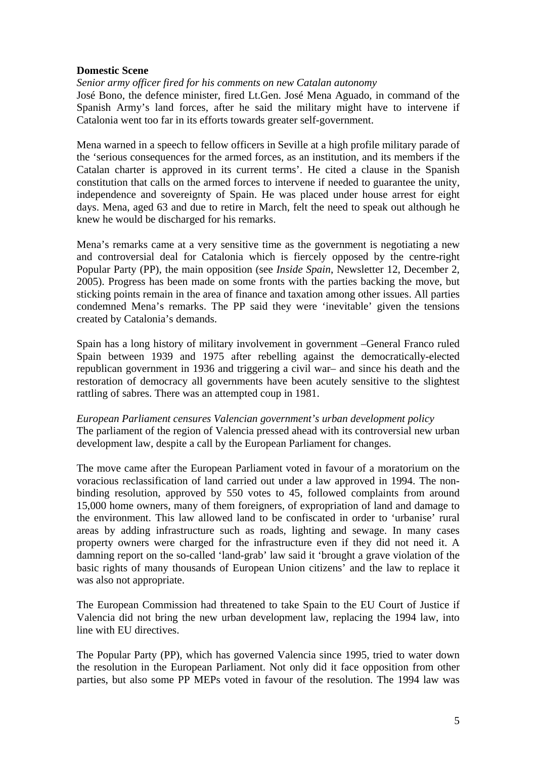# **Domestic Scene**

*Senior army officer fired for his comments on new Catalan autonomy* 

José Bono, the defence minister, fired Lt.Gen. José Mena Aguado, in command of the Spanish Army's land forces, after he said the military might have to intervene if Catalonia went too far in its efforts towards greater self-government.

Mena warned in a speech to fellow officers in Seville at a high profile military parade of the 'serious consequences for the armed forces, as an institution, and its members if the Catalan charter is approved in its current terms'. He cited a clause in the Spanish constitution that calls on the armed forces to intervene if needed to guarantee the unity, independence and sovereignty of Spain. He was placed under house arrest for eight days. Mena, aged 63 and due to retire in March, felt the need to speak out although he knew he would be discharged for his remarks.

Mena's remarks came at a very sensitive time as the government is negotiating a new and controversial deal for Catalonia which is fiercely opposed by the centre-right Popular Party (PP), the main opposition (see *Inside Spain*, Newsletter 12, December 2, 2005). Progress has been made on some fronts with the parties backing the move, but sticking points remain in the area of finance and taxation among other issues. All parties condemned Mena's remarks. The PP said they were 'inevitable' given the tensions created by Catalonia's demands.

Spain has a long history of military involvement in government –General Franco ruled Spain between 1939 and 1975 after rebelling against the democratically-elected republican government in 1936 and triggering a civil war– and since his death and the restoration of democracy all governments have been acutely sensitive to the slightest rattling of sabres. There was an attempted coup in 1981.

*European Parliament censures Valencian government's urban development policy*  The parliament of the region of Valencia pressed ahead with its controversial new urban development law, despite a call by the European Parliament for changes.

The move came after the European Parliament voted in favour of a moratorium on the voracious reclassification of land carried out under a law approved in 1994. The nonbinding resolution, approved by 550 votes to 45, followed complaints from around 15,000 home owners, many of them foreigners, of expropriation of land and damage to the environment. This law allowed land to be confiscated in order to 'urbanise' rural areas by adding infrastructure such as roads, lighting and sewage. In many cases property owners were charged for the infrastructure even if they did not need it. A damning report on the so-called 'land-grab' law said it 'brought a grave violation of the basic rights of many thousands of European Union citizens' and the law to replace it was also not appropriate.

The European Commission had threatened to take Spain to the EU Court of Justice if Valencia did not bring the new urban development law, replacing the 1994 law, into line with EU directives.

The Popular Party (PP), which has governed Valencia since 1995, tried to water down the resolution in the European Parliament. Not only did it face opposition from other parties, but also some PP MEPs voted in favour of the resolution. The 1994 law was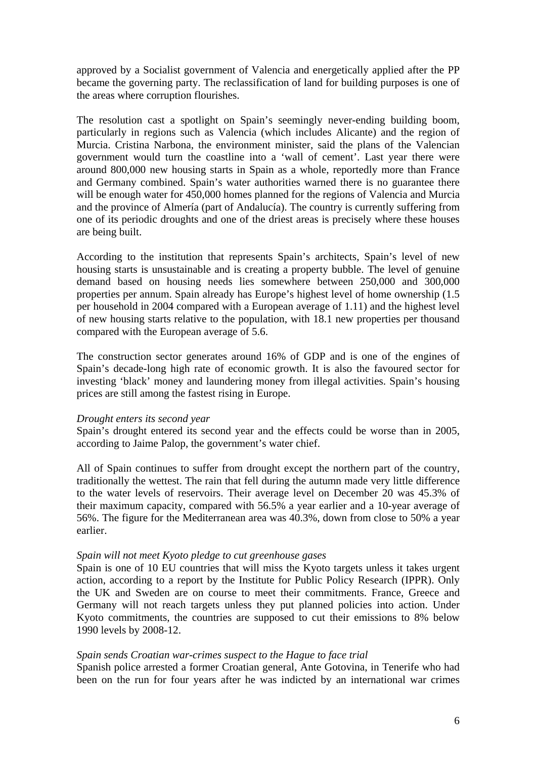approved by a Socialist government of Valencia and energetically applied after the PP became the governing party. The reclassification of land for building purposes is one of the areas where corruption flourishes.

The resolution cast a spotlight on Spain's seemingly never-ending building boom, particularly in regions such as Valencia (which includes Alicante) and the region of Murcia. Cristina Narbona, the environment minister, said the plans of the Valencian government would turn the coastline into a 'wall of cement'. Last year there were around 800,000 new housing starts in Spain as a whole, reportedly more than France and Germany combined. Spain's water authorities warned there is no guarantee there will be enough water for 450,000 homes planned for the regions of Valencia and Murcia and the province of Almería (part of Andalucía). The country is currently suffering from one of its periodic droughts and one of the driest areas is precisely where these houses are being built.

According to the institution that represents Spain's architects, Spain's level of new housing starts is unsustainable and is creating a property bubble. The level of genuine demand based on housing needs lies somewhere between 250,000 and 300,000 properties per annum. Spain already has Europe's highest level of home ownership (1.5 per household in 2004 compared with a European average of 1.11) and the highest level of new housing starts relative to the population, with 18.1 new properties per thousand compared with the European average of 5.6.

The construction sector generates around 16% of GDP and is one of the engines of Spain's decade-long high rate of economic growth. It is also the favoured sector for investing 'black' money and laundering money from illegal activities. Spain's housing prices are still among the fastest rising in Europe.

#### *Drought enters its second year*

Spain's drought entered its second year and the effects could be worse than in 2005, according to Jaime Palop, the government's water chief.

All of Spain continues to suffer from drought except the northern part of the country, traditionally the wettest. The rain that fell during the autumn made very little difference to the water levels of reservoirs. Their average level on December 20 was 45.3% of their maximum capacity, compared with 56.5% a year earlier and a 10-year average of 56%. The figure for the Mediterranean area was 40.3%, down from close to 50% a year earlier.

## *Spain will not meet Kyoto pledge to cut greenhouse gases*

Spain is one of 10 EU countries that will miss the Kyoto targets unless it takes urgent action, according to a report by the Institute for Public Policy Research (IPPR). Only the UK and Sweden are on course to meet their commitments. France, Greece and Germany will not reach targets unless they put planned policies into action. Under Kyoto commitments, the countries are supposed to cut their emissions to 8% below 1990 levels by 2008-12.

## *Spain sends Croatian war-crimes suspect to the Hague to face trial*

Spanish police arrested a former Croatian general, Ante Gotovina, in Tenerife who had been on the run for four years after he was indicted by an international war crimes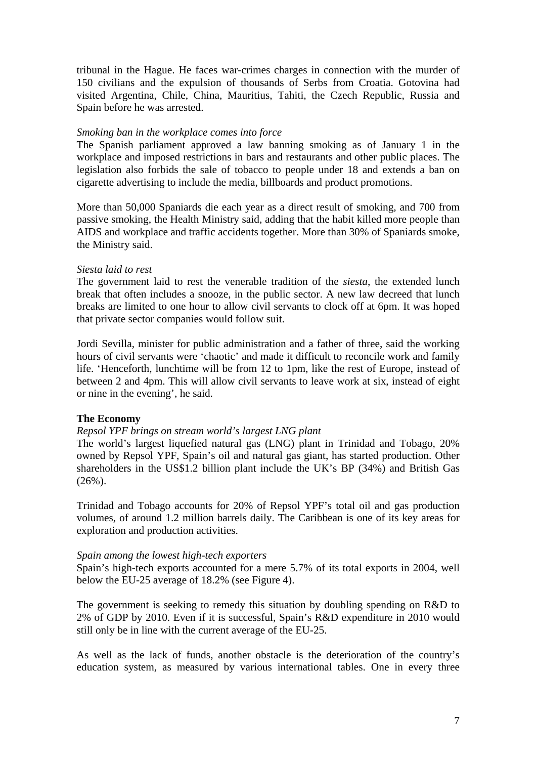tribunal in the Hague. He faces war-crimes charges in connection with the murder of 150 civilians and the expulsion of thousands of Serbs from Croatia. Gotovina had visited Argentina, Chile, China, Mauritius, Tahiti, the Czech Republic, Russia and Spain before he was arrested.

## *Smoking ban in the workplace comes into force*

The Spanish parliament approved a law banning smoking as of January 1 in the workplace and imposed restrictions in bars and restaurants and other public places. The legislation also forbids the sale of tobacco to people under 18 and extends a ban on cigarette advertising to include the media, billboards and product promotions.

More than 50,000 Spaniards die each year as a direct result of smoking, and 700 from passive smoking, the Health Ministry said, adding that the habit killed more people than AIDS and workplace and traffic accidents together. More than 30% of Spaniards smoke, the Ministry said.

# *Siesta laid to rest*

The government laid to rest the venerable tradition of the *siesta*, the extended lunch break that often includes a snooze, in the public sector. A new law decreed that lunch breaks are limited to one hour to allow civil servants to clock off at 6pm. It was hoped that private sector companies would follow suit.

Jordi Sevilla, minister for public administration and a father of three, said the working hours of civil servants were 'chaotic' and made it difficult to reconcile work and family life. 'Henceforth, lunchtime will be from 12 to 1pm, like the rest of Europe, instead of between 2 and 4pm. This will allow civil servants to leave work at six, instead of eight or nine in the evening', he said.

# **The Economy**

# *Repsol YPF brings on stream world's largest LNG plant*

The world's largest liquefied natural gas (LNG) plant in Trinidad and Tobago, 20% owned by Repsol YPF, Spain's oil and natural gas giant, has started production. Other shareholders in the US\$1.2 billion plant include the UK's BP (34%) and British Gas (26%).

Trinidad and Tobago accounts for 20% of Repsol YPF's total oil and gas production volumes, of around 1.2 million barrels daily. The Caribbean is one of its key areas for exploration and production activities.

## *Spain among the lowest high-tech exporters*

Spain's high-tech exports accounted for a mere 5.7% of its total exports in 2004, well below the EU-25 average of 18.2% (see Figure 4).

The government is seeking to remedy this situation by doubling spending on R&D to 2% of GDP by 2010. Even if it is successful, Spain's R&D expenditure in 2010 would still only be in line with the current average of the EU-25.

As well as the lack of funds, another obstacle is the deterioration of the country's education system, as measured by various international tables. One in every three